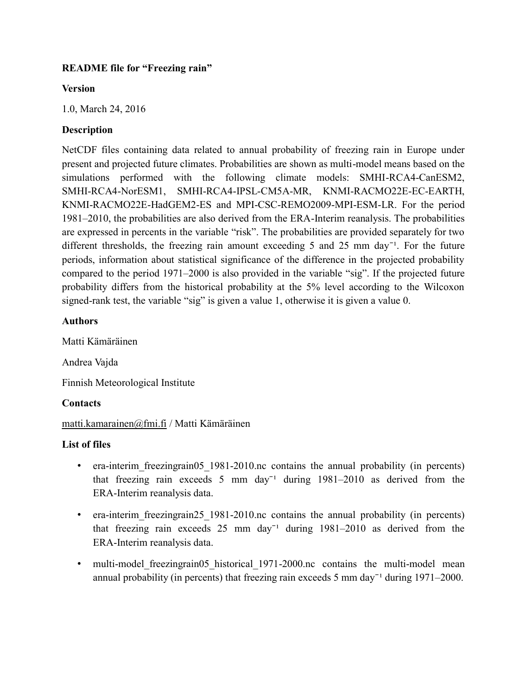## **README file for "Freezing rain"**

### **Version**

1.0, March 24, 2016

# **Description**

NetCDF files containing data related to annual probability of freezing rain in Europe under present and projected future climates. Probabilities are shown as multi-model means based on the simulations performed with the following climate models: SMHI-RCA4-CanESM2, SMHI-RCA4-NorESM1, SMHI-RCA4-IPSL-CM5A-MR, KNMI-RACMO22E-EC-EARTH, KNMI-RACMO22E-HadGEM2-ES and MPI-CSC-REMO2009-MPI-ESM-LR. For the period 1981–2010, the probabilities are also derived from the ERA-Interim reanalysis. The probabilities are expressed in percents in the variable "risk". The probabilities are provided separately for two different thresholds, the freezing rain amount exceeding 5 and 25 mm day<sup>-1</sup>. For the future periods, information about statistical significance of the difference in the projected probability compared to the period 1971–2000 is also provided in the variable "sig". If the projected future probability differs from the historical probability at the 5% level according to the Wilcoxon signed-rank test, the variable "sig" is given a value 1, otherwise it is given a value 0.

# **Authors**

Matti Kämäräinen

Andrea Vajda

Finnish Meteorological Institute

# **Contacts**

[matti.kamarainen@fmi.fi](mailto:matti.kamarainen@fmi.fi) / Matti Kämäräinen

## **List of files**

- era-interim freezingrain05 1981-2010.nc contains the annual probability (in percents) that freezing rain exceeds 5 mm day<sup>-1</sup> during  $1981-2010$  as derived from the ERA-Interim reanalysis data.
- era-interim freezingrain25 1981-2010.nc contains the annual probability (in percents) that freezing rain exceeds  $25 \text{ mm day}^{-1}$  during  $1981-2010$  as derived from the ERA-Interim reanalysis data.
- multi-model freezingrain05 historical 1971-2000.nc contains the multi-model mean annual probability (in percents) that freezing rain exceeds 5 mm day<sup> $-1$ </sup> during 1971–2000.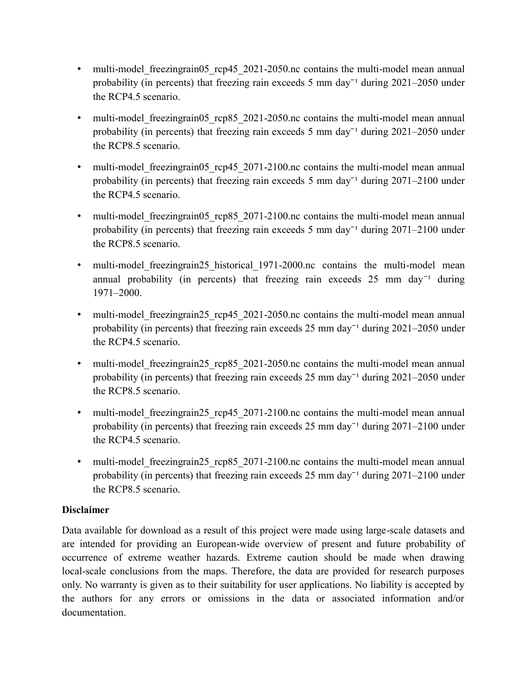- multi-model freezingrain05 rcp45 2021-2050.nc contains the multi-model mean annual probability (in percents) that freezing rain exceeds 5 mm day<sup>-1</sup> during  $2021-2050$  under the RCP4.5 scenario.
- multi-model freezingrain05 rcp85 2021-2050.nc contains the multi-model mean annual probability (in percents) that freezing rain exceeds 5 mm day<sup>-1</sup> during  $2021-2050$  under the RCP8.5 scenario.
- multi-model freezingrain05 rcp45 2071-2100.nc contains the multi-model mean annual probability (in percents) that freezing rain exceeds 5 mm day<sup>-1</sup> during  $2071-2100$  under the RCP4.5 scenario.
- multi-model freezingrain05 rcp85 2071-2100.nc contains the multi-model mean annual probability (in percents) that freezing rain exceeds 5 mm day<sup> $-1$ </sup> during 2071–2100 under the RCP8.5 scenario.
- multi-model freezingrain25 historical 1971-2000.nc contains the multi-model mean annual probability (in percents) that freezing rain exceeds  $25 \text{ mm day}^{-1}$  during 1971–2000.
- multi-model freezingrain25 rcp45 2021-2050.nc contains the multi-model mean annual probability (in percents) that freezing rain exceeds  $25 \text{ mm day}^{-1}$  during  $2021-2050$  under the RCP4.5 scenario.
- multi-model freezingrain25 rcp85 2021-2050.nc contains the multi-model mean annual probability (in percents) that freezing rain exceeds  $25 \text{ mm day}^{-1}$  during  $2021-2050$  under the RCP8.5 scenario.
- multi-model freezingrain25 rcp45 2071-2100.nc contains the multi-model mean annual probability (in percents) that freezing rain exceeds  $25 \text{ mm}$  day<sup>-1</sup> during  $2071-2100$  under the RCP4.5 scenario.
- multi-model freezingrain25 rcp85 2071-2100.nc contains the multi-model mean annual probability (in percents) that freezing rain exceeds  $25 \text{ mm day}^{-1}$  during  $2071-2100$  under the RCP8.5 scenario.

## **Disclaimer**

Data available for download as a result of this project were made using large-scale datasets and are intended for providing an European-wide overview of present and future probability of occurrence of extreme weather hazards. Extreme caution should be made when drawing local-scale conclusions from the maps. Therefore, the data are provided for research purposes only. No warranty is given as to their suitability for user applications. No liability is accepted by the authors for any errors or omissions in the data or associated information and/or documentation.